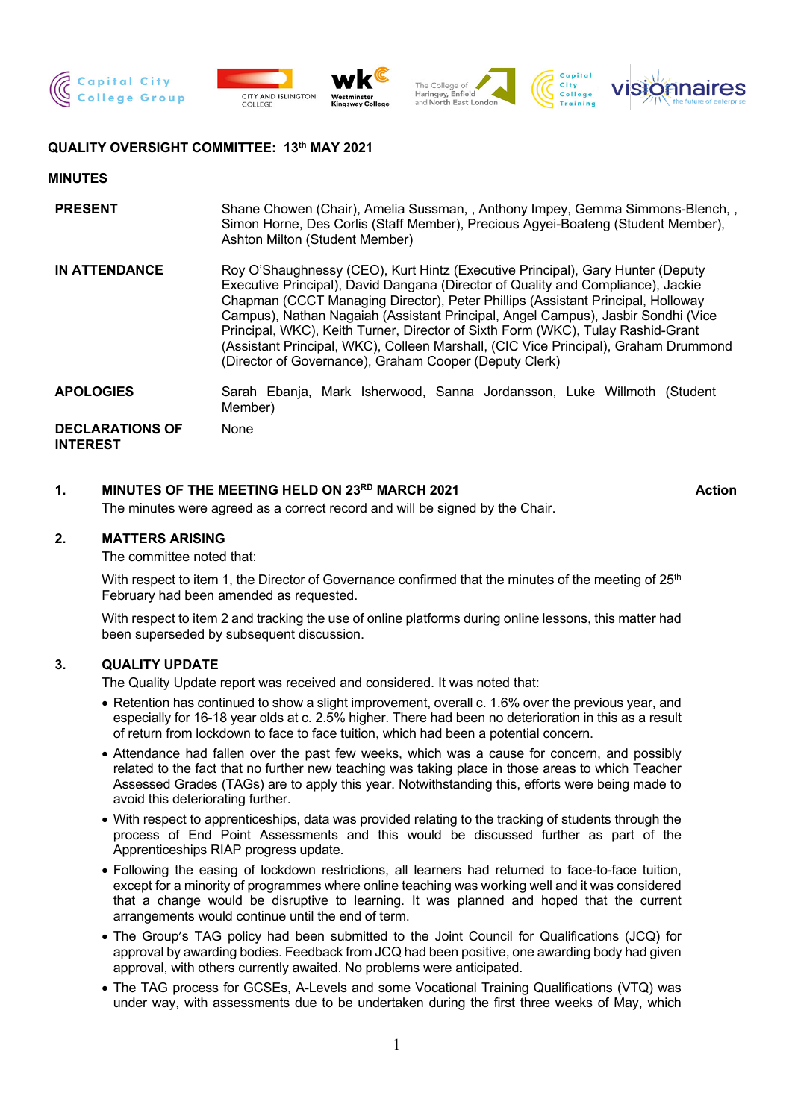







### **QUALITY OVERSIGHT COMMITTEE: 13th MAY 2021**

#### **MINUTES**

| <b>PRESENT</b>                            | Shane Chowen (Chair), Amelia Sussman, , Anthony Impey, Gemma Simmons-Blench, ,<br>Simon Horne, Des Corlis (Staff Member), Precious Agyei-Boateng (Student Member),<br>Ashton Milton (Student Member)                                                                                                                                                                                                                                                                                                                                                                          |
|-------------------------------------------|-------------------------------------------------------------------------------------------------------------------------------------------------------------------------------------------------------------------------------------------------------------------------------------------------------------------------------------------------------------------------------------------------------------------------------------------------------------------------------------------------------------------------------------------------------------------------------|
| <b>IN ATTENDANCE</b>                      | Roy O'Shaughnessy (CEO), Kurt Hintz (Executive Principal), Gary Hunter (Deputy<br>Executive Principal), David Dangana (Director of Quality and Compliance), Jackie<br>Chapman (CCCT Managing Director), Peter Phillips (Assistant Principal, Holloway<br>Campus), Nathan Nagaiah (Assistant Principal, Angel Campus), Jasbir Sondhi (Vice<br>Principal, WKC), Keith Turner, Director of Sixth Form (WKC), Tulay Rashid-Grant<br>(Assistant Principal, WKC), Colleen Marshall, (CIC Vice Principal), Graham Drummond<br>(Director of Governance), Graham Cooper (Deputy Clerk) |
| <b>APOLOGIES</b>                          | Sarah Ebanja, Mark Isherwood, Sanna Jordansson, Luke Willmoth (Student<br>Member)                                                                                                                                                                                                                                                                                                                                                                                                                                                                                             |
| <b>DECLARATIONS OF</b><br><b>INTEREST</b> | None                                                                                                                                                                                                                                                                                                                                                                                                                                                                                                                                                                          |

## **1. MINUTES OF THE MEETING HELD ON 23RD MARCH 2021 Action**

The minutes were agreed as a correct record and will be signed by the Chair.

### **2. MATTERS ARISING**

The committee noted that:

With respect to item 1, the Director of Governance confirmed that the minutes of the meeting of  $25<sup>th</sup>$ February had been amended as requested.

With respect to item 2 and tracking the use of online platforms during online lessons, this matter had been superseded by subsequent discussion.

### **3. QUALITY UPDATE**

The Quality Update report was received and considered. It was noted that:

- Retention has continued to show a slight improvement, overall c. 1.6% over the previous year, and especially for 16-18 year olds at c. 2.5% higher. There had been no deterioration in this as a result of return from lockdown to face to face tuition, which had been a potential concern.
- Attendance had fallen over the past few weeks, which was a cause for concern, and possibly related to the fact that no further new teaching was taking place in those areas to which Teacher Assessed Grades (TAGs) are to apply this year. Notwithstanding this, efforts were being made to avoid this deteriorating further.
- With respect to apprenticeships, data was provided relating to the tracking of students through the process of End Point Assessments and this would be discussed further as part of the Apprenticeships RIAP progress update.
- Following the easing of lockdown restrictions, all learners had returned to face-to-face tuition, except for a minority of programmes where online teaching was working well and it was considered that a change would be disruptive to learning. It was planned and hoped that the current arrangements would continue until the end of term.
- The Group's TAG policy had been submitted to the Joint Council for Qualifications (JCQ) for approval by awarding bodies. Feedback from JCQ had been positive, one awarding body had given approval, with others currently awaited. No problems were anticipated.
- The TAG process for GCSEs, A-Levels and some Vocational Training Qualifications (VTQ) was under way, with assessments due to be undertaken during the first three weeks of May, which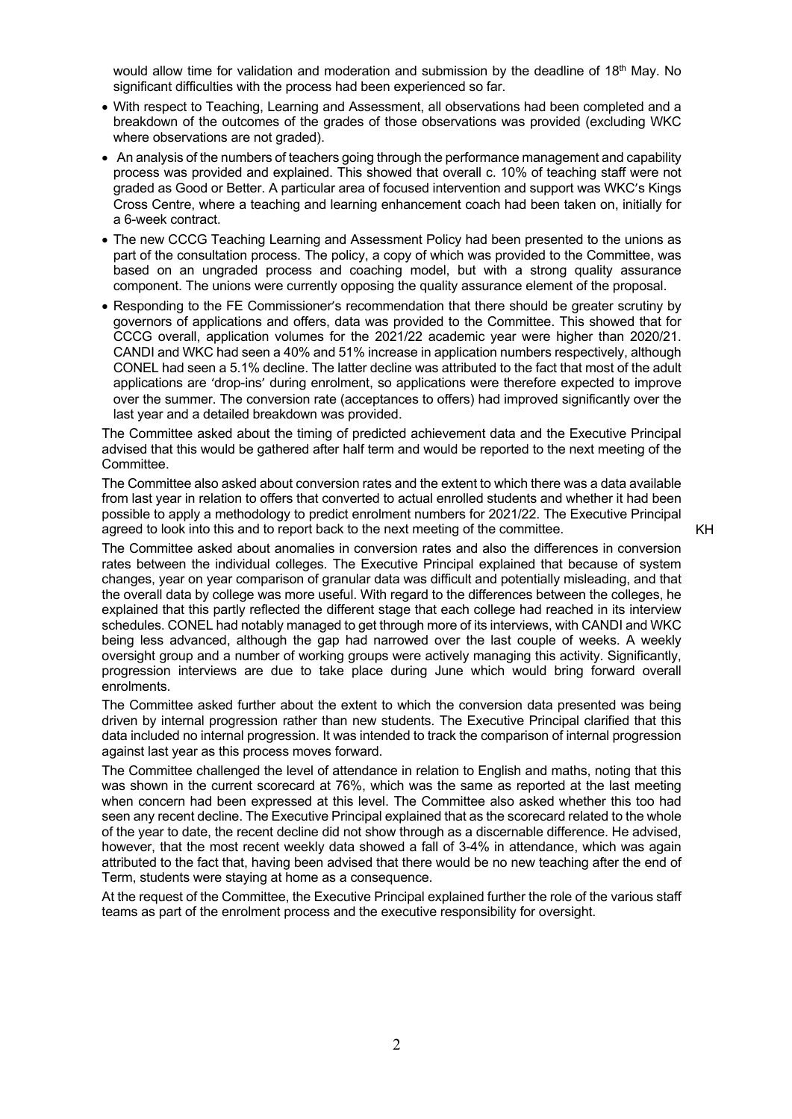would allow time for validation and moderation and submission by the deadline of 18<sup>th</sup> May. No significant difficulties with the process had been experienced so far.

- With respect to Teaching, Learning and Assessment, all observations had been completed and a breakdown of the outcomes of the grades of those observations was provided (excluding WKC where observations are not graded).
- An analysis of the numbers of teachers going through the performance management and capability process was provided and explained. This showed that overall c. 10% of teaching staff were not graded as Good or Better. A particular area of focused intervention and support was WKC's Kings Cross Centre, where a teaching and learning enhancement coach had been taken on, initially for a 6-week contract.
- The new CCCG Teaching Learning and Assessment Policy had been presented to the unions as part of the consultation process. The policy, a copy of which was provided to the Committee, was based on an ungraded process and coaching model, but with a strong quality assurance component. The unions were currently opposing the quality assurance element of the proposal.
- Responding to the FE Commissioner's recommendation that there should be greater scrutiny by governors of applications and offers, data was provided to the Committee. This showed that for CCCG overall, application volumes for the 2021/22 academic year were higher than 2020/21. CANDI and WKC had seen a 40% and 51% increase in application numbers respectively, although CONEL had seen a 5.1% decline. The latter decline was attributed to the fact that most of the adult applications are 'drop-ins' during enrolment, so applications were therefore expected to improve over the summer. The conversion rate (acceptances to offers) had improved significantly over the last year and a detailed breakdown was provided.

The Committee asked about the timing of predicted achievement data and the Executive Principal advised that this would be gathered after half term and would be reported to the next meeting of the Committee.

The Committee also asked about conversion rates and the extent to which there was a data available from last year in relation to offers that converted to actual enrolled students and whether it had been possible to apply a methodology to predict enrolment numbers for 2021/22. The Executive Principal agreed to look into this and to report back to the next meeting of the committee.

The Committee asked about anomalies in conversion rates and also the differences in conversion rates between the individual colleges. The Executive Principal explained that because of system changes, year on year comparison of granular data was difficult and potentially misleading, and that the overall data by college was more useful. With regard to the differences between the colleges, he explained that this partly reflected the different stage that each college had reached in its interview schedules. CONEL had notably managed to get through more of its interviews, with CANDI and WKC being less advanced, although the gap had narrowed over the last couple of weeks. A weekly oversight group and a number of working groups were actively managing this activity. Significantly, progression interviews are due to take place during June which would bring forward overall enrolments.

The Committee asked further about the extent to which the conversion data presented was being driven by internal progression rather than new students. The Executive Principal clarified that this data included no internal progression. It was intended to track the comparison of internal progression against last year as this process moves forward.

The Committee challenged the level of attendance in relation to English and maths, noting that this was shown in the current scorecard at 76%, which was the same as reported at the last meeting when concern had been expressed at this level. The Committee also asked whether this too had seen any recent decline. The Executive Principal explained that as the scorecard related to the whole of the year to date, the recent decline did not show through as a discernable difference. He advised, however, that the most recent weekly data showed a fall of 3-4% in attendance, which was again attributed to the fact that, having been advised that there would be no new teaching after the end of Term, students were staying at home as a consequence.

At the request of the Committee, the Executive Principal explained further the role of the various staff teams as part of the enrolment process and the executive responsibility for oversight.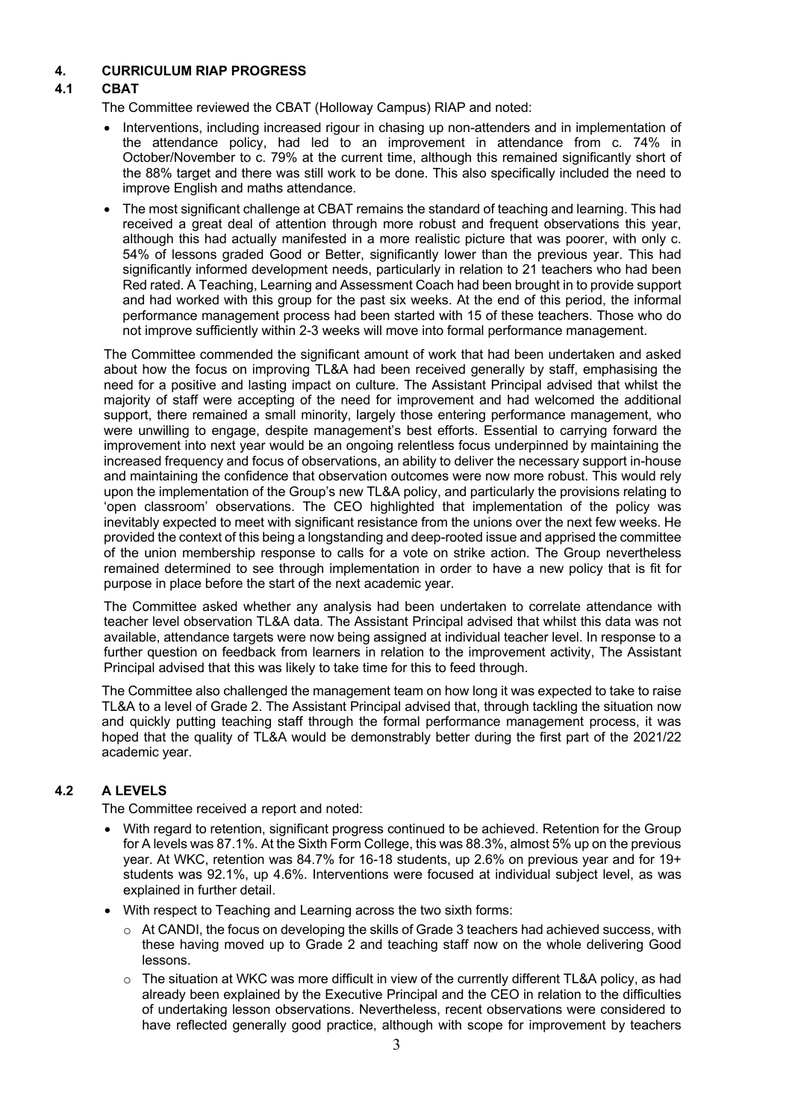### **4. CURRICULUM RIAP PROGRESS**

# **4.1 CBAT**

The Committee reviewed the CBAT (Holloway Campus) RIAP and noted:

- Interventions, including increased rigour in chasing up non-attenders and in implementation of the attendance policy, had led to an improvement in attendance from c. 74% in October/November to c. 79% at the current time, although this remained significantly short of the 88% target and there was still work to be done. This also specifically included the need to improve English and maths attendance.
- The most significant challenge at CBAT remains the standard of teaching and learning. This had received a great deal of attention through more robust and frequent observations this year, although this had actually manifested in a more realistic picture that was poorer, with only c. 54% of lessons graded Good or Better, significantly lower than the previous year. This had significantly informed development needs, particularly in relation to 21 teachers who had been Red rated. A Teaching, Learning and Assessment Coach had been brought in to provide support and had worked with this group for the past six weeks. At the end of this period, the informal performance management process had been started with 15 of these teachers. Those who do not improve sufficiently within 2-3 weeks will move into formal performance management.

The Committee commended the significant amount of work that had been undertaken and asked about how the focus on improving TL&A had been received generally by staff, emphasising the need for a positive and lasting impact on culture. The Assistant Principal advised that whilst the majority of staff were accepting of the need for improvement and had welcomed the additional support, there remained a small minority, largely those entering performance management, who were unwilling to engage, despite management's best efforts. Essential to carrying forward the improvement into next year would be an ongoing relentless focus underpinned by maintaining the increased frequency and focus of observations, an ability to deliver the necessary support in-house and maintaining the confidence that observation outcomes were now more robust. This would rely upon the implementation of the Group's new TL&A policy, and particularly the provisions relating to 'open classroom' observations. The CEO highlighted that implementation of the policy was inevitably expected to meet with significant resistance from the unions over the next few weeks. He provided the context of this being a longstanding and deep-rooted issue and apprised the committee of the union membership response to calls for a vote on strike action. The Group nevertheless remained determined to see through implementation in order to have a new policy that is fit for purpose in place before the start of the next academic year.

The Committee asked whether any analysis had been undertaken to correlate attendance with teacher level observation TL&A data. The Assistant Principal advised that whilst this data was not available, attendance targets were now being assigned at individual teacher level. In response to a further question on feedback from learners in relation to the improvement activity, The Assistant Principal advised that this was likely to take time for this to feed through.

The Committee also challenged the management team on how long it was expected to take to raise TL&A to a level of Grade 2. The Assistant Principal advised that, through tackling the situation now and quickly putting teaching staff through the formal performance management process, it was hoped that the quality of TL&A would be demonstrably better during the first part of the 2021/22 academic year.

## **4.2 A LEVELS**

The Committee received a report and noted:

- With regard to retention, significant progress continued to be achieved. Retention for the Group for A levels was 87.1%. At the Sixth Form College, this was 88.3%, almost 5% up on the previous year. At WKC, retention was 84.7% for 16-18 students, up 2.6% on previous year and for 19+ students was 92.1%, up 4.6%. Interventions were focused at individual subject level, as was explained in further detail.
- With respect to Teaching and Learning across the two sixth forms:
	- $\circ$  At CANDI, the focus on developing the skills of Grade 3 teachers had achieved success, with these having moved up to Grade 2 and teaching staff now on the whole delivering Good lessons.
	- $\circ$  The situation at WKC was more difficult in view of the currently different TL&A policy, as had already been explained by the Executive Principal and the CEO in relation to the difficulties of undertaking lesson observations. Nevertheless, recent observations were considered to have reflected generally good practice, although with scope for improvement by teachers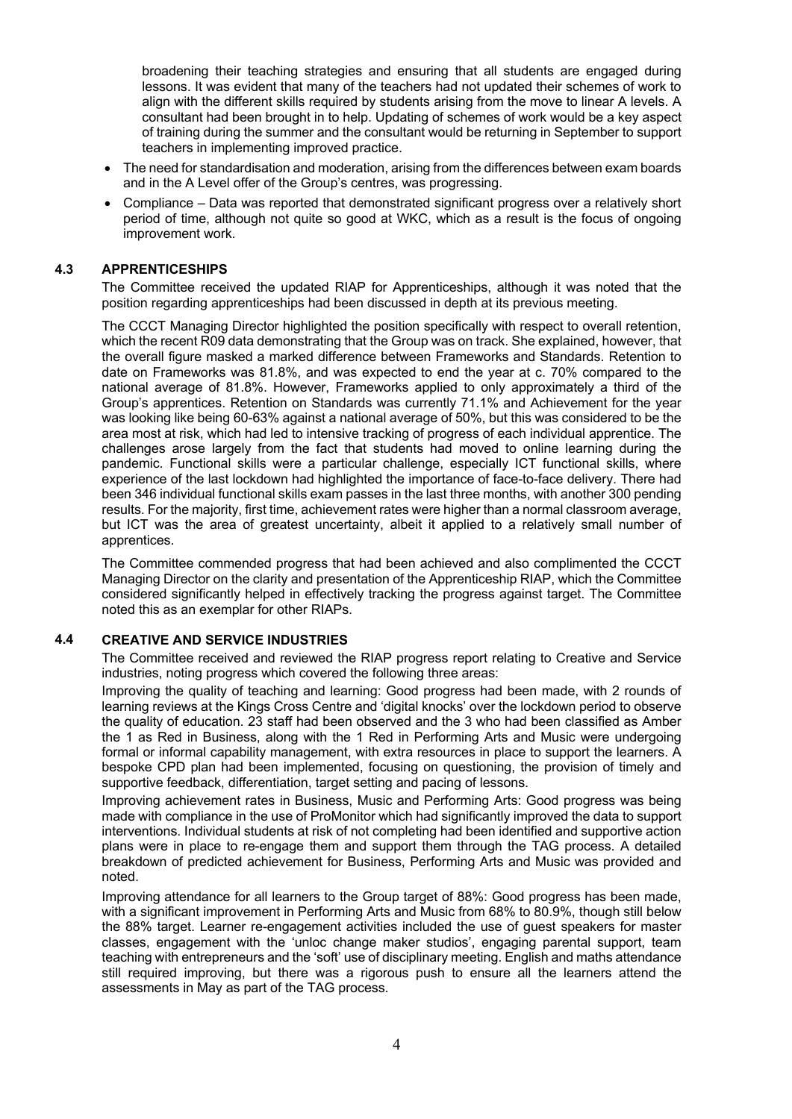broadening their teaching strategies and ensuring that all students are engaged during lessons. It was evident that many of the teachers had not updated their schemes of work to align with the different skills required by students arising from the move to linear A levels. A consultant had been brought in to help. Updating of schemes of work would be a key aspect of training during the summer and the consultant would be returning in September to support teachers in implementing improved practice.

- The need for standardisation and moderation, arising from the differences between exam boards and in the A Level offer of the Group's centres, was progressing.
- Compliance Data was reported that demonstrated significant progress over a relatively short period of time, although not quite so good at WKC, which as a result is the focus of ongoing improvement work.

#### **4.3 APPRENTICESHIPS**

The Committee received the updated RIAP for Apprenticeships, although it was noted that the position regarding apprenticeships had been discussed in depth at its previous meeting.

The CCCT Managing Director highlighted the position specifically with respect to overall retention, which the recent R09 data demonstrating that the Group was on track. She explained, however, that the overall figure masked a marked difference between Frameworks and Standards. Retention to date on Frameworks was 81.8%, and was expected to end the year at c. 70% compared to the national average of 81.8%. However, Frameworks applied to only approximately a third of the Group's apprentices. Retention on Standards was currently 71.1% and Achievement for the year was looking like being 60-63% against a national average of 50%, but this was considered to be the area most at risk, which had led to intensive tracking of progress of each individual apprentice. The challenges arose largely from the fact that students had moved to online learning during the pandemic. Functional skills were a particular challenge, especially ICT functional skills, where experience of the last lockdown had highlighted the importance of face-to-face delivery. There had been 346 individual functional skills exam passes in the last three months, with another 300 pending results. For the majority, first time, achievement rates were higher than a normal classroom average, but ICT was the area of greatest uncertainty, albeit it applied to a relatively small number of apprentices.

The Committee commended progress that had been achieved and also complimented the CCCT Managing Director on the clarity and presentation of the Apprenticeship RIAP, which the Committee considered significantly helped in effectively tracking the progress against target. The Committee noted this as an exemplar for other RIAPs.

#### **4.4 CREATIVE AND SERVICE INDUSTRIES**

The Committee received and reviewed the RIAP progress report relating to Creative and Service industries, noting progress which covered the following three areas:

Improving the quality of teaching and learning: Good progress had been made, with 2 rounds of learning reviews at the Kings Cross Centre and 'digital knocks' over the lockdown period to observe the quality of education. 23 staff had been observed and the 3 who had been classified as Amber the 1 as Red in Business, along with the 1 Red in Performing Arts and Music were undergoing formal or informal capability management, with extra resources in place to support the learners. A bespoke CPD plan had been implemented, focusing on questioning, the provision of timely and supportive feedback, differentiation, target setting and pacing of lessons.

Improving achievement rates in Business, Music and Performing Arts: Good progress was being made with compliance in the use of ProMonitor which had significantly improved the data to support interventions. Individual students at risk of not completing had been identified and supportive action plans were in place to re-engage them and support them through the TAG process. A detailed breakdown of predicted achievement for Business, Performing Arts and Music was provided and noted.

Improving attendance for all learners to the Group target of 88%: Good progress has been made, with a significant improvement in Performing Arts and Music from 68% to 80.9%, though still below the 88% target. Learner re-engagement activities included the use of guest speakers for master classes, engagement with the 'unloc change maker studios', engaging parental support, team teaching with entrepreneurs and the 'soft' use of disciplinary meeting. English and maths attendance still required improving, but there was a rigorous push to ensure all the learners attend the assessments in May as part of the TAG process.